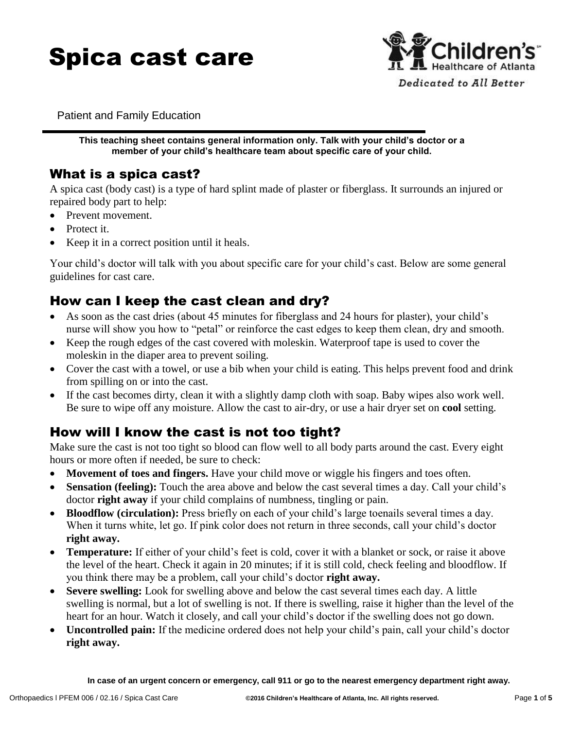



Patient and Family Education

**This teaching sheet contains general information only. Talk with your child's doctor or a member of your child's healthcare team about specific care of your child.**

#### What is a spica cast?

A spica cast (body cast) is a type of hard splint made of plaster or fiberglass. It surrounds an injured or repaired body part to help:

- Prevent movement.
- Protect it.
- Keep it in a correct position until it heals.

Your child's doctor will talk with you about specific care for your child's cast. Below are some general guidelines for cast care.

#### How can I keep the cast clean and dry?

- As soon as the cast dries (about 45 minutes for fiberglass and 24 hours for plaster), your child's nurse will show you how to "petal" or reinforce the cast edges to keep them clean, dry and smooth.
- Keep the rough edges of the cast covered with moleskin. Waterproof tape is used to cover the moleskin in the diaper area to prevent soiling.
- Cover the cast with a towel, or use a bib when your child is eating. This helps prevent food and drink from spilling on or into the cast.
- If the cast becomes dirty, clean it with a slightly damp cloth with soap. Baby wipes also work well. Be sure to wipe off any moisture. Allow the cast to air-dry, or use a hair dryer set on **cool** setting.

### How will I know the cast is not too tight?

Make sure the cast is not too tight so blood can flow well to all body parts around the cast. Every eight hours or more often if needed, be sure to check:

- **Movement of toes and fingers.** Have your child move or wiggle his fingers and toes often.
- **Sensation (feeling):** Touch the area above and below the cast several times a day. Call your child's doctor **right away** if your child complains of numbness, tingling or pain.
- **Bloodflow (circulation):** Press briefly on each of your child's large toenails several times a day. When it turns white, let go. If pink color does not return in three seconds, call your child's doctor **right away.**
- **Temperature:** If either of your child's feet is cold, cover it with a blanket or sock, or raise it above the level of the heart. Check it again in 20 minutes; if it is still cold, check feeling and bloodflow. If you think there may be a problem, call your child's doctor **right away.**
- **Severe swelling:** Look for swelling above and below the cast several times each day. A little swelling is normal, but a lot of swelling is not. If there is swelling, raise it higher than the level of the heart for an hour. Watch it closely, and call your child's doctor if the swelling does not go down.
- **Uncontrolled pain:** If the medicine ordered does not help your child's pain, call your child's doctor **right away.**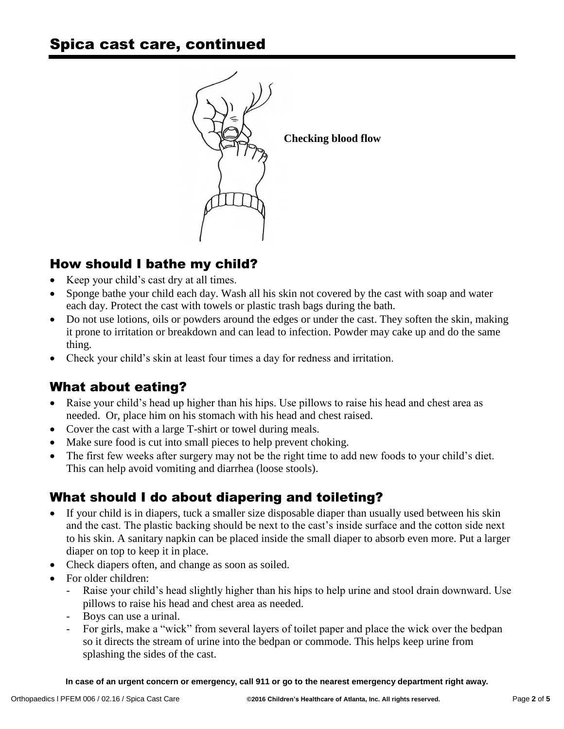

# How should I bathe my child?

- Keep your child's cast dry at all times.
- Sponge bathe your child each day. Wash all his skin not covered by the cast with soap and water each day. Protect the cast with towels or plastic trash bags during the bath.
- Do not use lotions, oils or powders around the edges or under the cast. They soften the skin, making it prone to irritation or breakdown and can lead to infection. Powder may cake up and do the same thing.
- Check your child's skin at least four times a day for redness and irritation.

# What about eating?

- Raise your child's head up higher than his hips. Use pillows to raise his head and chest area as needed. Or, place him on his stomach with his head and chest raised.
- Cover the cast with a large T-shirt or towel during meals.
- Make sure food is cut into small pieces to help prevent choking.
- The first few weeks after surgery may not be the right time to add new foods to your child's diet. This can help avoid vomiting and diarrhea (loose stools).

# What should I do about diapering and toileting?

- If your child is in diapers, tuck a smaller size disposable diaper than usually used between his skin and the cast. The plastic backing should be next to the cast's inside surface and the cotton side next to his skin. A sanitary napkin can be placed inside the small diaper to absorb even more. Put a larger diaper on top to keep it in place.
- Check diapers often, and change as soon as soiled.
- For older children:
	- Raise your child's head slightly higher than his hips to help urine and stool drain downward. Use pillows to raise his head and chest area as needed.
	- Boys can use a urinal.
	- For girls, make a "wick" from several layers of toilet paper and place the wick over the bedpan so it directs the stream of urine into the bedpan or commode. This helps keep urine from splashing the sides of the cast.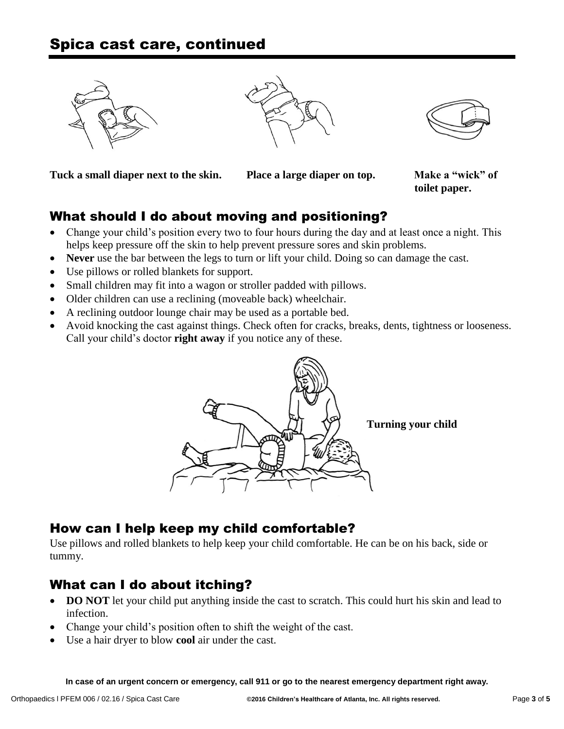



**Tuck a small diaper next to the skin. Place a large diaper on top. Make a "wick" of** 

**toilet paper.**

# What should I do about moving and positioning?

- Change your child's position every two to four hours during the day and at least once a night. This helps keep pressure off the skin to help prevent pressure sores and skin problems.
- **Never** use the bar between the legs to turn or lift your child. Doing so can damage the cast.
- Use pillows or rolled blankets for support.
- Small children may fit into a wagon or stroller padded with pillows.
- Older children can use a reclining (moveable back) wheelchair.
- A reclining outdoor lounge chair may be used as a portable bed.
- Avoid knocking the cast against things. Check often for cracks, breaks, dents, tightness or looseness. Call your child's doctor **right away** if you notice any of these.



# How can I help keep my child comfortable?

Use pillows and rolled blankets to help keep your child comfortable. He can be on his back, side or tummy.

# What can I do about itching?

- **DO NOT** let your child put anything inside the cast to scratch. This could hurt his skin and lead to infection.
- Change your child's position often to shift the weight of the cast.
- Use a hair dryer to blow **cool** air under the cast.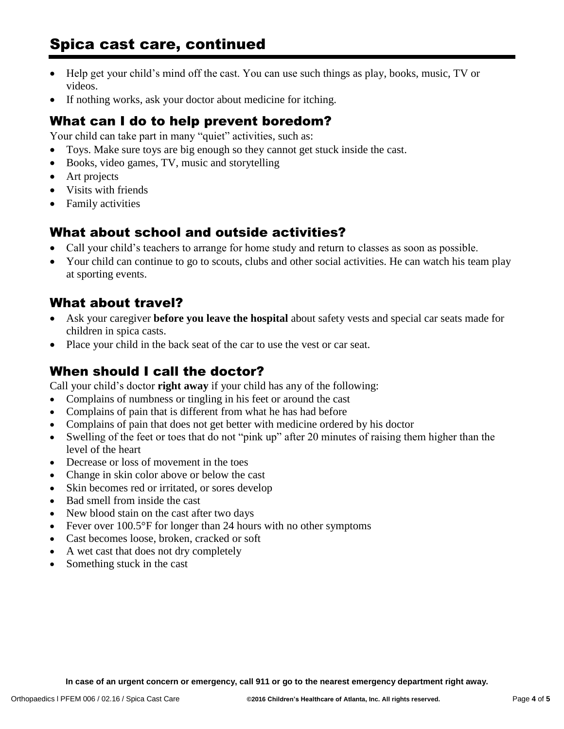# Spica cast care, continued

- Help get your child's mind off the cast. You can use such things as play, books, music, TV or videos.
- If nothing works, ask your doctor about medicine for itching.

### What can I do to help prevent boredom?

Your child can take part in many "quiet" activities, such as:

- Toys. Make sure toys are big enough so they cannot get stuck inside the cast.
- Books, video games, TV, music and storytelling
- Art projects
- Visits with friends
- Family activities

### What about school and outside activities?

- Call your child's teachers to arrange for home study and return to classes as soon as possible.
- Your child can continue to go to scouts, clubs and other social activities. He can watch his team play at sporting events.

#### What about travel?

- Ask your caregiver **before you leave the hospital** about safety vests and special car seats made for children in spica casts.
- Place your child in the back seat of the car to use the vest or car seat.

### When should I call the doctor?

Call your child's doctor **right away** if your child has any of the following:

- Complains of numbness or tingling in his feet or around the cast
- Complains of pain that is different from what he has had before
- Complains of pain that does not get better with medicine ordered by his doctor
- Swelling of the feet or toes that do not "pink up" after 20 minutes of raising them higher than the level of the heart
- Decrease or loss of movement in the toes
- Change in skin color above or below the cast
- Skin becomes red or irritated, or sores develop
- Bad smell from inside the cast
- New blood stain on the cast after two days
- Fever over 100.5°F for longer than 24 hours with no other symptoms
- Cast becomes loose, broken, cracked or soft
- A wet cast that does not dry completely
- Something stuck in the cast